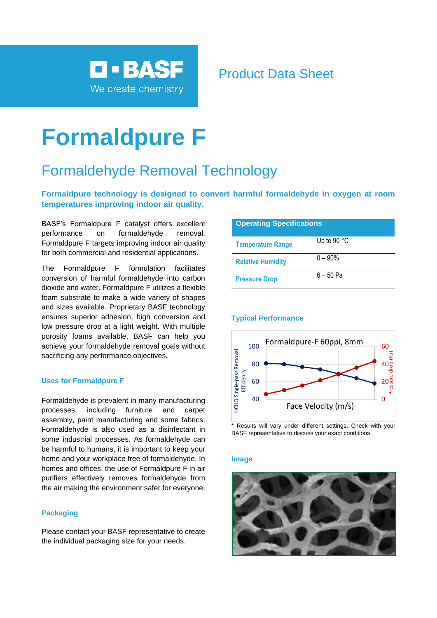

# Product Data Sheet

# **Formaldpure F**

# Formaldehyde Removal Technology

## **Formaldpure technology is designed to convert harmful formaldehyde in oxygen at room temperatures improving indoor air quality.**

BASF's Formaldpure F catalyst offers excellent performance on formaldehyde removal. Formaldpure F targets improving indoor air quality for both commercial and residential applications.

The Formaldpure F formulation facilitates conversion of harmful formaldehyde into carbon dioxide and water. Formaldpure F utilizes a flexible foam substrate to make a wide variety of shapes and sizes available. Proprietary BASF technology ensures superior adhesion, high conversion and low pressure drop at a light weight. With multiple porosity foams available, BASF can help you achieve your formaldehyde removal goals without sacrificing any performance objectives.

#### **Uses for Formaldpure F**

Formaldehyde is prevalent in many manufacturing processes, including furniture and carpet assembly, paint manufacturing and some fabrics. Formaldehyde is also used as a disinfectant in some industrial processes. As formaldehyde can be harmful to humans, it is important to keep your home and your workplace free of formaldehyde. In homes and offices, the use of Formaldpure F in air purifiers effectively removes formaldehyde from the air making the environment safer for everyone.

### **Packaging**

Please contact your BASF representative to create the individual packaging size for your needs.

| <b>Operating Specifications</b> |                      |
|---------------------------------|----------------------|
| <b>Temperature Range</b>        | Up to 90 $\degree$ C |
| <b>Relative Humidity</b>        | $0 - 90\%$           |
| <b>Pressure Drop</b>            | 6 – 50 Pa            |

#### **Typical Performance**



#### Results will vary under different settings. Check with your BASF representative to discuss your exact conditions.

#### **Image**